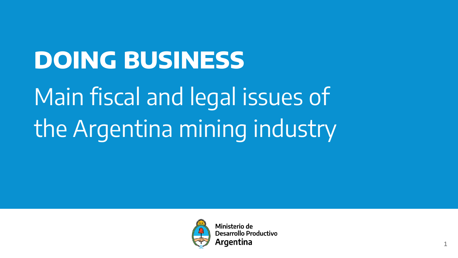# **DOING BUSINESS**

Main fiscal and legal issues of the Argentina mining industry



Ministerio de Desarrollo Productivo Araentina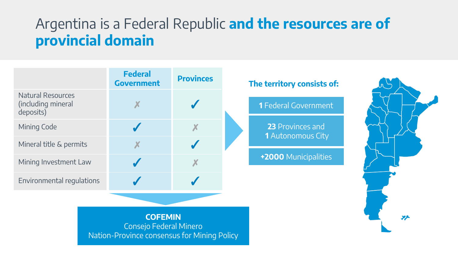### Argentina is a Federal Republic and the resources are of provincial domain Argentina is a Federal Republic **and the resources are of provincial domain**

|                                                             | <b>Federal</b><br><b>Government</b> | <b>Provinces</b> |  |
|-------------------------------------------------------------|-------------------------------------|------------------|--|
| <b>Natural Resources</b><br>(including mineral<br>deposits) |                                     |                  |  |
| Mining Code                                                 |                                     |                  |  |
| Mineral title & permits                                     |                                     |                  |  |
| Mining Investment Law                                       |                                     |                  |  |
| Environmental regulations                                   |                                     |                  |  |

#### **The territory consists of:**

**1** Federal Government

**23** Provinces and **1** Autonomous City

**+2000** Municipalities



**COFEMIN** Consejo Federal Minero Nation-Province consensus for Mining Policy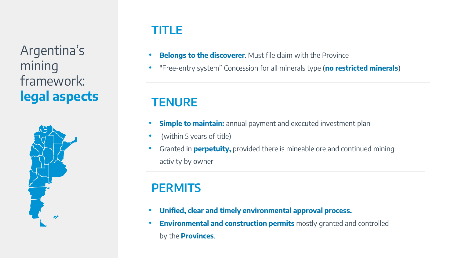## **TITLE**

Argentina's mining framework: **legal aspects**



- **Belongs to the discoverer**. Must file claim with the Province
- "Free-entry system" Concession for all minerals type (**no restricted minerals**)

# **TENURE**

- **Simple to maintain:** annual payment and executed investment plan
- (within 5 years of title)
- Granted in **perpetuity,** provided there is mineable ore and continued mining activity by owner

# **PERMITS**

- **Unified, clear and timely environmental approval process.**
- **Environmental and construction permits** mostly granted and controlled by the **Provinces**.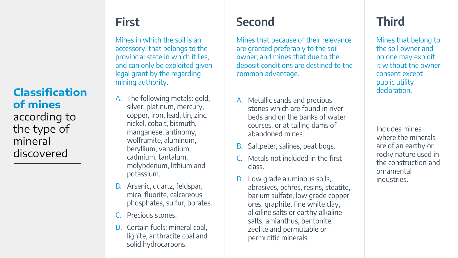#### **Classification of mines**  according to the type of mineral discovered

Mines in which the soil is an accessory, that belongs to the provincial state in which it lies, and can only be exploited given legal grant by the regarding mining authority.

- A. The following metals: gold, silver, platinum, mercury, copper, iron, lead, tin, zinc, nickel, cobalt, bismuth, manganese, antinomy, wolframite, aluminum, beryllium, vanadium, cadmium, tantalum, molybdenum, lithium and potassium.
- B. Arsenic, quartz, feldspar, mica, fluorite, calcareous phosphates, sulfur, borates.
- Precious stones.
- D. Certain fuels: mineral coal, lignite, anthracite coal and solid hydrocarbons.

# **First Second Third**

Mines that because of their relevance are granted preferably to the soil owner; and mines that due to the deposit conditions are destined to the common advantage.

- A. Metallic sands and precious stones which are found in river beds and on the banks of water courses, or at tailing dams of abandoned mines.
- B. Saltpeter, salines, peat bogs.
- Metals not included in the first class.
- D. Low grade aluminous soils, abrasives, ochres, resins, steatite, barium sulfate, low grade copper ores, graphite, fine white clay, alkaline salts or earthy alkaline salts, amianthus, bentonite, zeolite and permutable or permutitic minerals.

Mines that belong to the soil owner and no one may exploit it without the owner consent except public utility declaration.

Includes mines where the minerals are of an earthy or rocky nature used in the construction and ornamental industries.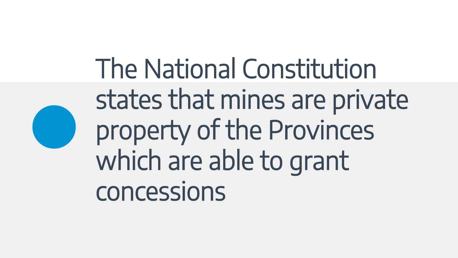The National Constitution states that mines are private property of the Provinces which are able to grant concessions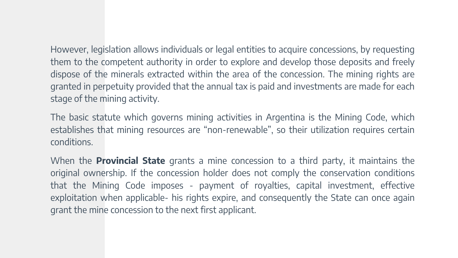However, legislation allows individuals or legal entities to acquire concessions, by requesting them to the competent authority in order to explore and develop those deposits and freely dispose of the minerals extracted within the area of the concession. The mining rights are granted in perpetuity provided that the annual tax is paid and investments are made for each stage of the mining activity.

The basic statute which governs mining activities in Argentina is the Mining Code, which establishes that mining resources are "non-renewable", so their utilization requires certain conditions.

When the **Provincial State** grants a mine concession to a third party, it maintains the original ownership. If the concession holder does not comply the conservation conditions that the Mining Code imposes - payment of royalties, capital investment, effective exploitation when applicable- his rights expire, and consequently the State can once again grant the mine concession to the next first applicant.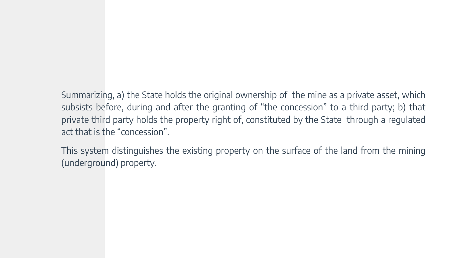Summarizing, a) the State holds the original ownership of the mine as a private asset, which subsists before, during and after the granting of "the concession" to a third party; b) that private third party holds the property right of, constituted by the State through a regulated act that is the "concession".

This system distinguishes the existing property on the surface of the land from the mining (underground) property.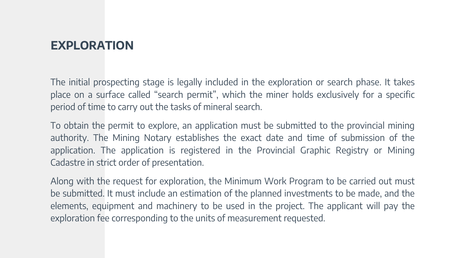### **EXPLORATION**

The initial prospecting stage is legally included in the exploration or search phase. It takes place on a surface called "search permit", which the miner holds exclusively for a specific period of time to carry out the tasks of mineral search.

To obtain the permit to explore, an application must be submitted to the provincial mining authority. The Mining Notary establishes the exact date and time of submission of the application. The application is registered in the Provincial Graphic Registry or Mining Cadastre in strict order of presentation.

Along with the request for exploration, the Minimum Work Program to be carried out must be submitted. It must include an estimation of the planned investments to be made, and the elements, equipment and machinery to be used in the project. The applicant will pay the exploration fee corresponding to the units of measurement requested.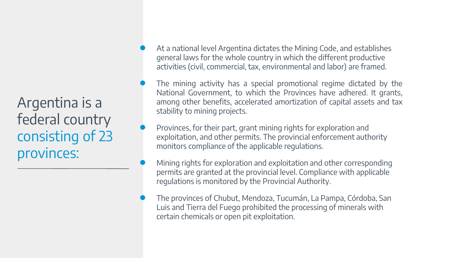Argentina is a federal country consisting of 23 provinces:

- At a national level Argentina dictates the Mining Code, and establishes general laws for the whole country in which the different productive activities (civil, commercial, tax, environmental and labor) are framed.
- The mining activity has a special promotional regime dictated by the National Government, to which the Provinces have adhered. It grants, among other benefits, accelerated amortization of capital assets and tax stability to mining projects.
- Provinces, for their part, grant mining rights for exploration and exploitation, and other permits. The provincial enforcement authority monitors compliance of the applicable regulations.
- Mining rights for exploration and exploitation and other corresponding permits are granted at the provincial level. Compliance with applicable regulations is monitored by the Provincial Authority.
- The provinces of Chubut, Mendoza, Tucumán, La Pampa, Córdoba, San Luis and Tierra del Fuego prohibited the processing of minerals with certain chemicals or open pit exploitation.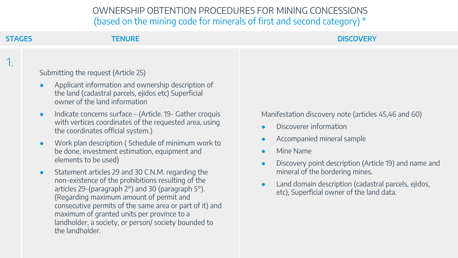1.

#### **STAGES TENURE DISCOVERY**

Submitting the request (Article 25)

- Applicant information and ownership description of the land (cadastral parcels, ejidos etc) Superficial owner of the land information
- Indicate concerns surface (Article. 19- Gather croquis with vertices coordinates of the requested area, using the coordinates official system.)
- Work plan description ( Schedule of minimum work to be done, investment estimation, equipment and elements to be used)
- Statement articles 29 and 30 C.N.M. regarding the non-existence of the prohibitions resulting of the articles 29-(paragraph 2°) and 30 (paragraph 5°). (Regarding maximum amount of permit and consecutive permits of the same area or part of it) and maximum of granted units per province to a landholder, a society, or person/ society bounded to the landholder.

Manifestation discovery note (articles 45,46 and 60)

- Discoverer information
- Accompanied mineral sample
- **Mine Name**
- Discovery point description (Article 19) and name and mineral of the bordering mines.
- Land domain description (cadastral parcels, ejidos, etc), Superficial owner of the land data.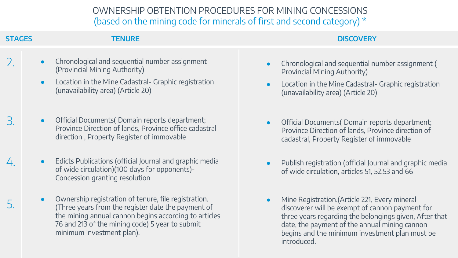2. **STAGES TENURE DISCOVERY**

- Chronological and sequential number assignment (Provincial Mining Authority)
- Location in the Mine Cadastral- Graphic registration (unavailability area) (Article 20)
- Official Documents( Domain reports department; 3. Official Documents( Domain reports department; Province Direction of lands, Province office cadastral direction , Property Register of immovable
- Edicts Publications (official Journal and graphic media of wide circulation)(100 days for opponents)- Concession granting resolution 4. ● Edicts Publications (official Journal and graphic media → Publish registration (official Journal and graphic media
- Ownership registration of tenure, file registration. Gall (Article 221, Every mineral) Gall (Article 221, Every mineral Summer of tenure, file registration.<br>S. Three years from the register date the payment of annon payment of cannon paymen the mining annual cannon begins according to articles 76 and 213 of the mining code) 5 year to submit minimum investment plan).

- Chronological and sequential number assignment ( Provincial Mining Authority)
- Location in the Mine Cadastral- Graphic registration (unavailability area) (Article 20)
- Province Direction of lands, Province direction of cadastral, Property Register of immovable
- of wide circulation, articles 51, 52,53 and 66
- discoverer will be exempt of cannon payment for three years regarding the belongings given, After that date, the payment of the annual mining cannon begins and the minimum investment plan must be introduced.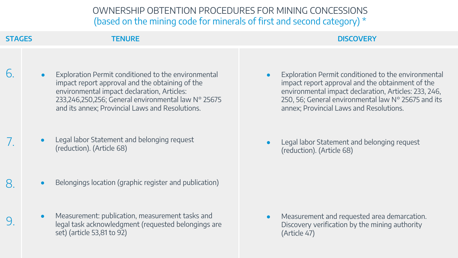6.

#### **STAGES TENURE DISCOVERY**

- Exploration Permit conditioned to the environmental impact report approval and the obtaining of the environmental impact declaration, Articles: 233,246,250,256; General environmental law N° 25675 and its annex; Provincial Laws and Resolutions.
- Legal labor Statement and belonging request
- $8 \cdot$  Belongings location (graphic register and publication)
- Measurement: publication, measurement tasks and legal task acknowledgment (requested belongings are 9. ● Measurement and requested area demarcation. set) (article 53,81 to 92)
- Exploration Permit conditioned to the environmental impact report approval and the obtainment of the environmental impact declaration, Articles: 233, 246, 250, 56; General environmental law N° 25675 and its annex; Provincial Laws and Resolutions.
- Legal labor Statement and belonging request<br>(reduction). (Article 68) 7. Equation (Article 68) 7. Equation (Article 68) (reduction). (Article 68)

Discovery verification by the mining authority (Article 47)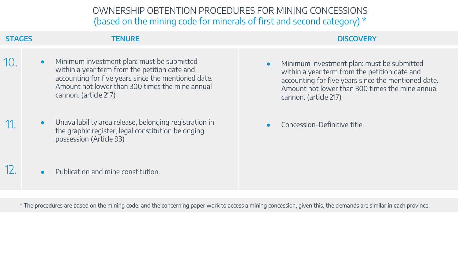**STAGES TENURE DISCOVERY**

10.

- Minimum investment plan: must be submitted within a year term from the petition date and accounting for five years since the mentioned date. Amount not lower than 300 times the mine annual cannon. (article 217)
- Unavailability area release, belonging registration in 11. Concession–Definitive title the graphic register, legal constitution belonging possession (Article 93)
- Minimum investment plan: must be submitted within a year term from the petition date and accounting for five years since the mentioned date. Amount not lower than 300 times the mine annual cannon. (article 217)

 $12.$  **•** Publication and mine constitution.

\* The procedures are based on the mining code, and the concerning paper work to access a mining concession, given this, the demands are similar in each province.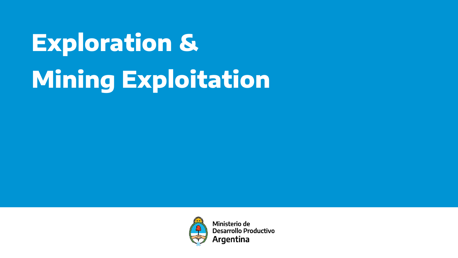

Ministerio de **Desarrollo Productivo Argentina**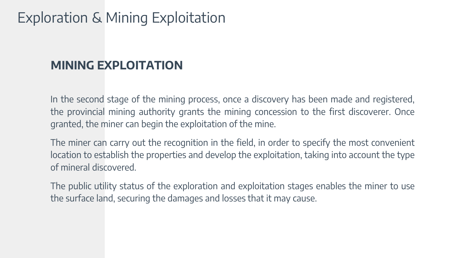### **MINING EXPLOITATION**

In the second stage of the mining process, once a discovery has been made and registered, the provincial mining authority grants the mining concession to the first discoverer. Once granted, the miner can begin the exploitation of the mine.

The miner can carry out the recognition in the field, in order to specify the most convenient location to establish the properties and develop the exploitation, taking into account the type of mineral discovered.

The public utility status of the exploration and exploitation stages enables the miner to use the surface land, securing the damages and losses that it may cause.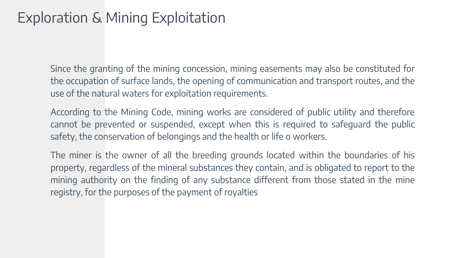Since the granting of the mining concession, mining easements may also be constituted for the occupation of surface lands, the opening of communication and transport routes, and the use of the natural waters for exploitation requirements.

According to the Mining Code, mining works are considered of public utility and therefore cannot be prevented or suspended, except when this is required to safeguard the public safety, the conservation of belongings and the health or life o workers.

The miner is the owner of all the breeding grounds located within the boundaries of his property, regardless of the mineral substances they contain, and is obligated to report to the mining authority on the finding of any substance different from those stated in the mine registry, for the purposes of the payment of royalties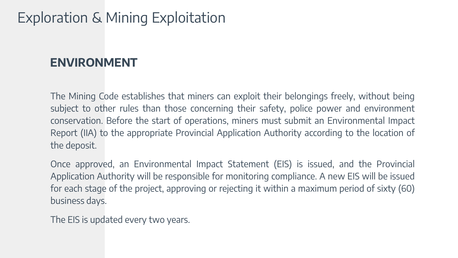### **ENVIRONMENT**

The Mining Code establishes that miners can exploit their belongings freely, without being subject to other rules than those concerning their safety, police power and environment conservation. Before the start of operations, miners must submit an Environmental Impact Report (IIA) to the appropriate Provincial Application Authority according to the location of the deposit.

Once approved, an Environmental Impact Statement (EIS) is issued, and the Provincial Application Authority will be responsible for monitoring compliance. A new EIS will be issued for each stage of the project, approving or rejecting it within a maximum period of sixty (60) business days.

The EIS is updated every two years.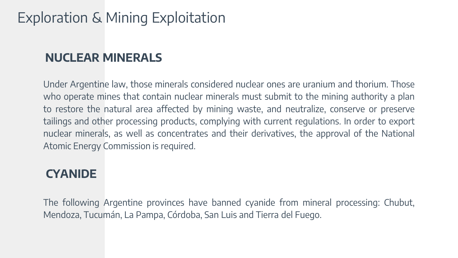### **NUCLEAR MINERALS**

Under Argentine law, those minerals considered nuclear ones are uranium and thorium. Those who operate mines that contain nuclear minerals must submit to the mining authority a plan to restore the natural area affected by mining waste, and neutralize, conserve or preserve tailings and other processing products, complying with current regulations. In order to export nuclear minerals, as well as concentrates and their derivatives, the approval of the National Atomic Energy Commission is required.

#### **CYANIDE**

The following Argentine provinces have banned cyanide from mineral processing: Chubut, Mendoza, Tucumán, La Pampa, Córdoba, San Luis and Tierra del Fuego.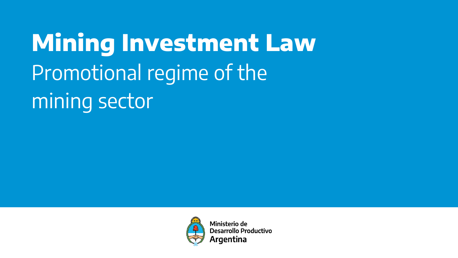**Mining Investment Law**  Promotional regime of the mining sector



Ministerio de **Desarrollo Productivo** Argentina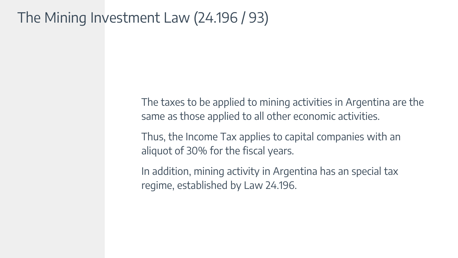# The Mining Investment Law (24.196 / 93)

The taxes to be applied to mining activities in Argentina are the same as those applied to all other economic activities.

Thus, the Income Tax applies to capital companies with an aliquot of 30% for the fiscal years.

In addition, mining activity in Argentina has an special tax regime, established by Law 24.196.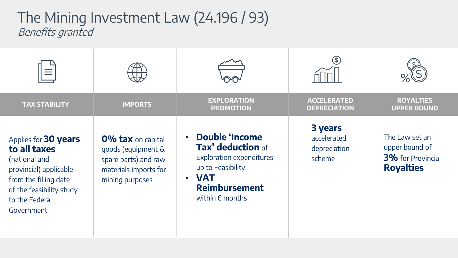## Benefits granted The Mining Investment Law (24.196 / 93)

| <b>TAX STABILITY</b>                                                                                                                                                 | <b>IMPORTS</b>                                                                                                     | <b>EXPLORATION</b><br><b>PROMOTION</b>                                                                                                                                                | <b>ACCELERATED</b><br><b>DEPRECIATION</b>        | <b>ROYALTIES</b><br><b>UPPER BOUND</b>                                           |
|----------------------------------------------------------------------------------------------------------------------------------------------------------------------|--------------------------------------------------------------------------------------------------------------------|---------------------------------------------------------------------------------------------------------------------------------------------------------------------------------------|--------------------------------------------------|----------------------------------------------------------------------------------|
| Applies for 30 years<br>to all taxes<br>(national and<br>provincial) applicable<br>from the filling date<br>of the feasibility study<br>to the Federal<br>Government | <b>0% tax</b> on capital<br>goods (equipment &<br>spare parts) and raw<br>materials imports for<br>mining purposes | <b>Double 'Income</b><br>$\bullet$<br>Tax' deduction of<br><b>Exploration expenditures</b><br>up to Feasibility<br><b>VAT</b><br>$\bullet$<br><b>Reimbursement</b><br>within 6 months | 3 years<br>accelerated<br>depreciation<br>scheme | The Law set an<br>upper bound of<br><b>3%</b> for Provincial<br><b>Royalties</b> |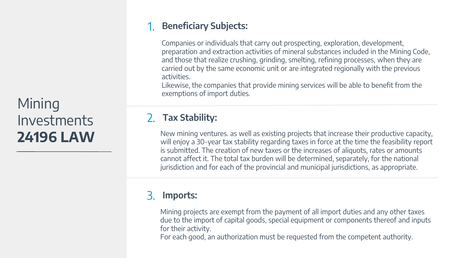# Mining Investments **24196 LAW**

#### 1. **Beneficiary Subjects:**

Companies or individuals that carry out prospecting, exploration, development, preparation and extraction activities of mineral substances included in the Mining Code, and those that realize crushing, grinding, smelting, refining processes, when they are carried out by the same economic unit or are integrated regionally with the previous activities.

Likewise, the companies that provide mining services will be able to benefit from the exemptions of import duties.

#### 2. **Tax Stability:**

New mining ventures. as well as existing projects that increase their productive capacity, will enjoy a 30-year tax stability regarding taxes in force at the time the feasibility report is submitted. The creation of new taxes or the increases of aliquots, rates or amounts cannot affect it. The total tax burden will be determined, separately, for the national jurisdiction and for each of the provincial and municipal jurisdictions, as appropriate.

#### 3. **Imports:**

Mining projects are exempt from the payment of all import duties and any other taxes due to the import of capital goods, special equipment or components thereof and inputs for their activity.

For each good, an authorization must be requested from the competent authority.